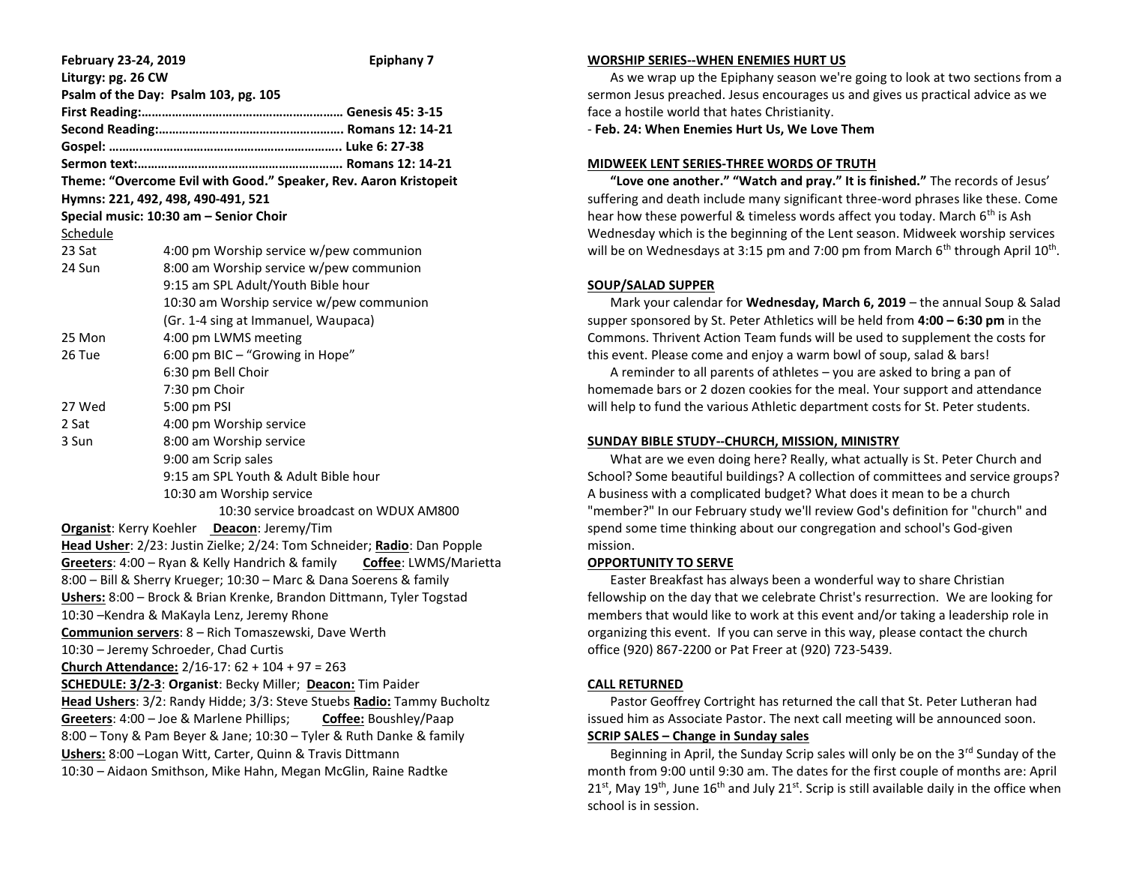| February 23-24, 2019                                                    |                                          | <b>Epiphany 7</b> |
|-------------------------------------------------------------------------|------------------------------------------|-------------------|
| Liturgy: pg. 26 CW                                                      |                                          |                   |
| Psalm of the Day: Psalm 103, pg. 105                                    |                                          |                   |
|                                                                         |                                          |                   |
|                                                                         |                                          |                   |
|                                                                         |                                          |                   |
|                                                                         |                                          |                   |
| Theme: "Overcome Evil with Good." Speaker, Rev. Aaron Kristopeit        |                                          |                   |
| Hymns: 221, 492, 498, 490-491, 521                                      |                                          |                   |
| Special music: 10:30 am - Senior Choir                                  |                                          |                   |
| Schedule                                                                |                                          |                   |
| 23 Sat                                                                  | 4:00 pm Worship service w/pew communion  |                   |
| 24 Sun                                                                  | 8:00 am Worship service w/pew communion  |                   |
|                                                                         | 9:15 am SPL Adult/Youth Bible hour       |                   |
|                                                                         | 10:30 am Worship service w/pew communion |                   |
|                                                                         | (Gr. 1-4 sing at Immanuel, Waupaca)      |                   |
| 25 Mon                                                                  | 4:00 pm LWMS meeting                     |                   |
| 26 Tue                                                                  | 6:00 pm BIC - "Growing in Hope"          |                   |
|                                                                         | 6:30 pm Bell Choir                       |                   |
|                                                                         | 7:30 pm Choir                            |                   |
| 27 Wed                                                                  | 5:00 pm PSI                              |                   |
| 2 Sat                                                                   | 4:00 pm Worship service                  |                   |
| 3 Sun                                                                   | 8:00 am Worship service                  |                   |
|                                                                         | 9:00 am Scrip sales                      |                   |
|                                                                         | 9:15 am SPL Youth & Adult Bible hour     |                   |
|                                                                         | 10:30 am Worship service                 |                   |
|                                                                         | 10:30 service broadcast on WDUX AM800    |                   |
| Organist: Kerry Koehler Deacon: Jeremy/Tim                              |                                          |                   |
| Head Usher: 2/23: Justin Zielke; 2/24: Tom Schneider; Radio: Dan Popple |                                          |                   |
| Greeters: 4:00 - Ryan & Kelly Handrich & family Coffee: LWMS/Marietta   |                                          |                   |
| 8:00 - Bill & Sherry Krueger; 10:30 - Marc & Dana Soerens & family      |                                          |                   |
| Ushers: 8:00 - Brock & Brian Krenke, Brandon Dittmann, Tyler Togstad    |                                          |                   |
| 10:30 - Kendra & MaKayla Lenz, Jeremy Rhone                             |                                          |                   |
| Communion servers: 8 - Rich Tomaszewski, Dave Werth                     |                                          |                   |
| 10:30 - Jeremy Schroeder, Chad Curtis                                   |                                          |                   |
| Church Attendance: $2/16-17$ : $62 + 104 + 97 = 263$                    |                                          |                   |
| SCHEDULE: 3/2-3: Organist: Becky Miller; Deacon: Tim Paider             |                                          |                   |
| Head Ushers: 3/2: Randy Hidde; 3/3: Steve Stuebs Radio: Tammy Bucholtz  |                                          |                   |
| Greeters: 4:00 - Joe & Marlene Phillips;<br>Coffee: Boushley/Paap       |                                          |                   |
| 8:00 - Tony & Pam Beyer & Jane; 10:30 - Tyler & Ruth Danke & family     |                                          |                   |
| Ushers: 8:00 - Logan Witt, Carter, Quinn & Travis Dittmann              |                                          |                   |
| 10:30 - Aidaon Smithson, Mike Hahn, Megan McGlin, Raine Radtke          |                                          |                   |
|                                                                         |                                          |                   |

#### **WORSHIP SERIES--WHEN ENEMIES HURT US**

 As we wrap up the Epiphany season we're going to look at two sections from a sermon Jesus preached. Jesus encourages us and gives us practical advice as we face a hostile world that hates Christianity.

- **Feb. 24: When Enemies Hurt Us, We Love Them**

#### **MIDWEEK LENT SERIES-THREE WORDS OF TRUTH**

 **"Love one another." "Watch and pray." It is finished."** The records of Jesus' suffering and death include many significant three-word phrases like these. Come hear how these powerful & timeless words affect you today. March  $6<sup>th</sup>$  is Ash Wednesday which is the beginning of the Lent season. Midweek worship services will be on Wednesdays at 3:15 pm and 7:00 pm from March 6<sup>th</sup> through April  $10^{\text{th}}$ .

# **SOUP/SALAD SUPPER**

 Mark your calendar for **Wednesday, March 6, 2019** – the annual Soup & Salad supper sponsored by St. Peter Athletics will be held from **4:00 – 6:30 pm** in the Commons. Thrivent Action Team funds will be used to supplement the costs for this event. Please come and enjoy a warm bowl of soup, salad & bars!

 A reminder to all parents of athletes – you are asked to bring a pan of homemade bars or 2 dozen cookies for the meal. Your support and attendance will help to fund the various Athletic department costs for St. Peter students.

#### **SUNDAY BIBLE STUDY--CHURCH, MISSION, MINISTRY**

 What are we even doing here? Really, what actually is St. Peter Church and School? Some beautiful buildings? A collection of committees and service groups? A business with a complicated budget? What does it mean to be a church "member?" In our February study we'll review God's definition for "church" and spend some time thinking about our congregation and school's God-given mission.

# **OPPORTUNITY TO SERVE**

 Easter Breakfast has always been a wonderful way to share Christian fellowship on the day that we celebrate Christ's resurrection. We are looking for members that would like to work at this event and/or taking a leadership role in organizing this event. If you can serve in this way, please contact the church office (920) 867-2200 or Pat Freer at (920) 723-5439.

# **CALL RETURNED**

 Pastor Geoffrey Cortright has returned the call that St. Peter Lutheran had issued him as Associate Pastor. The next call meeting will be announced soon. **SCRIP SALES – Change in Sunday sales**

Beginning in April, the Sunday Scrip sales will only be on the  $3<sup>rd</sup>$  Sunday of the month from 9:00 until 9:30 am. The dates for the first couple of months are: April  $21<sup>st</sup>$ , May  $19<sup>th</sup>$ , June  $16<sup>th</sup>$  and July  $21<sup>st</sup>$ . Scrip is still available daily in the office when school is in session.